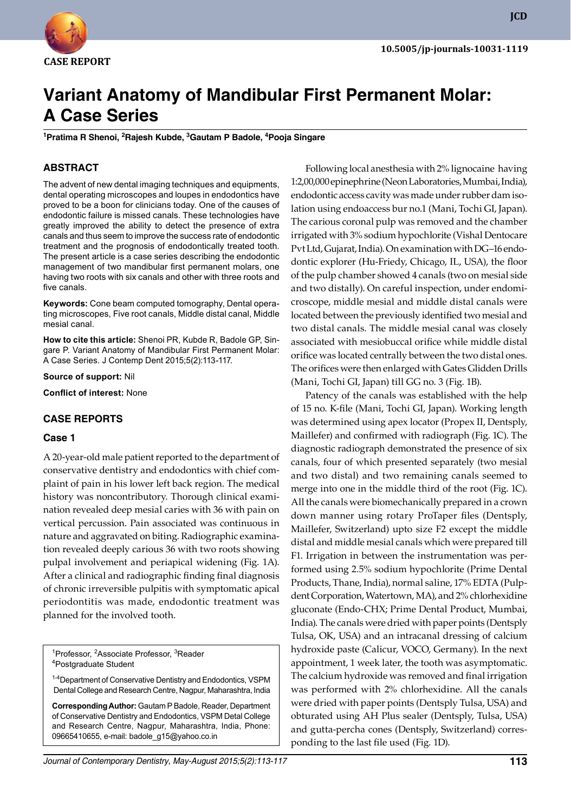

**JCD**

# **Variant Anatomy of Mandibular First Permanent Molar: A Case Series**

<sup>1</sup> Pratima R Shenoi, <sup>2</sup> Rajesh Kubde, <sup>3</sup> Gautam P Badole, <sup>4</sup> Pooja Singare

## **ABSTRACT**

The advent of new dental imaging techniques and equipments, dental operating microscopes and loupes in endodontics have proved to be a boon for clinicians today. One of the causes of endodontic failure is missed canals. These technologies have greatly improved the ability to detect the presence of extra canals and thus seem to improve the success rate of endodontic treatment and the prognosis of endodontically treated tooth. The present article is a case series describing the endodontic management of two mandibular first permanent molars, one having two roots with six canals and other with three roots and five canals.

**Keywords:** Cone beam computed tomography, Dental operating microscopes, Five root canals, Middle distal canal, Middle mesial canal.

**How to cite this article:** Shenoi PR, Kubde R, Badole GP, Singare P. Variant Anatomy of Mandibular First Permanent Molar: A Case Series. J Contemp Dent 2015;5(2):113-117.

**Source of support:** Nil

**Conflict of interest:** None

#### **Case reports**

#### **Case 1**

A 20-year-old male patient reported to the department of conservative dentistry and endodontics with chief complaint of pain in his lower left back region. The medical history was noncontributory. Thorough clinical examination revealed deep mesial caries with 36 with pain on vertical percussion. Pain associated was continuous in nature and aggravated on biting. Radiographic examination revealed deeply carious 36 with two roots showing pulpal involvement and periapical widening (Fig. 1A). After a clinical and radiographic finding final diagnosis of chronic irreversible pulpitis with symptomatic apical periodontitis was made, endodontic treatment was planned for the involved tooth.

<sup>1</sup>Professor, <sup>2</sup>Associate Professor, <sup>3</sup>Reader<br><sup>4</sup>Postaraduate Student Postgraduate Student

<sup>1-4</sup> Department of Conservative Dentistry and Endodontics, VSI Dental College and Research Centre, Nagpur, Maharashtra, India

**Corresponding Author:** Gautam P Badole, Reader, Department of Conservative Dentistry and Endodontics, VSPM Detal College and Research Centre, Nagpur, Maharashtra, India, Phone: 09665410655, e-mail: badole\_g15@yahoo.co.in

Following local anesthesia with 2% lignocaine having 1:2,00,000 epinephrine (Neon Laboratories, Mumbai, India), endodontic access cavity was made under rubber dam isolation using endoaccess bur no.1 (Mani, Tochi GI, Japan). The carious coronal pulp was removed and the chamber irrigated with 3% sodium hypochlorite (Vishal Dentocare Pvt Ltd, Gujarat, India). On examination with DG–16 endodontic explorer (Hu-Friedy, Chicago, IL, USA), the floor of the pulp chamber showed 4 canals (two on mesial side and two distally). On careful inspection, under endomicroscope, middle mesial and middle distal canals were located between the previously identified two mesial and two distal canals. The middle mesial canal was closely associated with mesiobuccal orifice while middle distal orifice was located centrally between the two distal ones. The orifices were then enlarged with Gates Glidden Drills (Mani, Tochi GI, Japan) till GG no. 3 (Fig. 1B).

Patency of the canals was established with the help of 15 no. K-file (Mani, Tochi GI, Japan). Working length was determined using apex locator (Propex II, Dentsply, Maillefer) and confirmed with radiograph (Fig. 1C). The diagnostic radiograph demonstrated the presence of six canals, four of which presented separately (two mesial and two distal) and two remaining canals seemed to merge into one in the middle third of the root (Fig. 1C). All the canals were biomechanically prepared in a crown down manner using rotary ProTaper files (Dentsply, Maillefer, Switzerland) upto size F2 except the middle distal and middle mesial canals which were prepared till F1. Irrigation in between the instrumentation was performed using 2.5% sodium hypochlorite (Prime Dental Products, Thane, India), normal saline, 17% EDTA (Pulpdent Corporation, Watertown, MA), and 2% chlorhexidine gluconate (Endo-CHX; Prime Dental Product, Mumbai, India). The canals were dried with paper points (Dentsply Tulsa, OK, USA) and an intracanal dressing of calcium hydroxide paste (Calicur, VOCO, Germany). In the next appointment, 1 week later, the tooth was asymptomatic. The calcium hydroxide was removed and final irrigation was performed with 2% chlorhexidine. All the canals were dried with paper points (Dentsply Tulsa, USA) and obturated using AH Plus sealer (Dentsply, Tulsa, USA) and gutta-percha cones (Dentsply, Switzerland) corresponding to the last file used (Fig. 1D).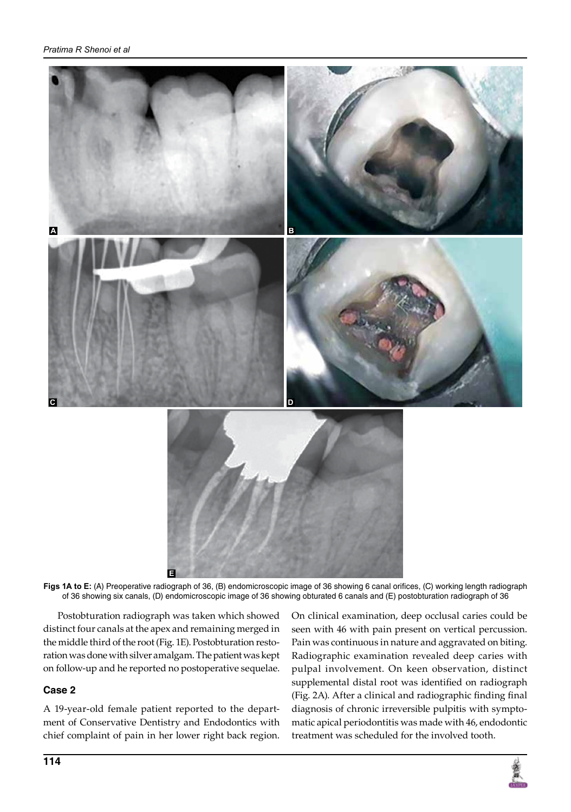

**Figs 1A to E:** (A) preoperative radiograph of 36, (B) endomicroscopic image of 36 showing 6 canal orifices, (C) working length radiograph of 36 showing six canals, (D) endomicroscopic image of 36 showing obturated 6 canals and (E) postobturation radiograph of 36 **E**

Postobturation radiograph was taken which showed distinct four canals at the apex and remaining merged in the middle third of the root (Fig. 1E). Postobturation restoration was done with silver amalgam. The patient was kept on follow-up and he reported no postoperative sequelae.

# **Case 2**

A 19-year-old female patient reported to the department of Conservative Dentistry and Endodontics with chief complaint of pain in her lower right back region.

On clinical examination, deep occlusal caries could be seen with 46 with pain present on vertical percussion. Pain was continuous in nature and aggravated on biting. Radiographic examination revealed deep caries with pulpal involvement. On keen observation, distinct supplemental distal root was identified on radiograph (Fig. 2A). After a clinical and radiographic finding final diagnosis of chronic irreversible pulpitis with symptomatic apical periodontitis was made with 46, endodontic treatment was scheduled for the involved tooth.

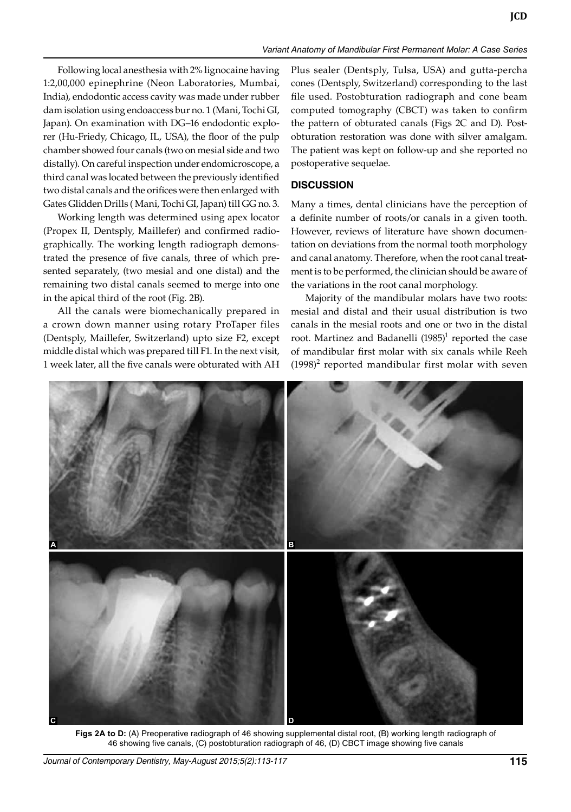Following local anesthesia with 2% lignocaine having 1:2,00,000 epinephrine (Neon Laboratories, Mumbai, India), endodontic access cavity was made under rubber dam isolation using endoaccess bur no. 1 (Mani, Tochi GI, Japan). On examination with DG–16 endodontic explorer (Hu-Friedy, Chicago, IL, USA), the floor of the pulp chamber showed four canals (two on mesial side and two distally). On careful inspection under endomicroscope, a third canal was located between the previously identified two distal canals and the orifices were then enlarged with Gates Glidden Drills ( Mani, Tochi GI, Japan) till GG no. 3.

Working length was determined using apex locator (Propex II, Dentsply, Maillefer) and confirmed radiographically. The working length radiograph demonstrated the presence of five canals, three of which presented separately, (two mesial and one distal) and the remaining two distal canals seemed to merge into one in the apical third of the root (Fig. 2B).

All the canals were biomechanically prepared in a crown down manner using rotary ProTaper files (Dentsply, Maillefer, Switzerland) upto size F2, except middle distal which was prepared till F1. In the next visit, 1 week later, all the five canals were obturated with AH

Plus sealer (Dentsply, Tulsa, USA) and gutta-percha cones (Dentsply, Switzerland) corresponding to the last file used. Postobturation radiograph and cone beam computed tomography (CBCT) was taken to confirm the pattern of obturated canals (Figs 2C and D). Postobturation restoration was done with silver amalgam. The patient was kept on follow-up and she reported no postoperative sequelae.

# **DISCUSSION**

Many a times, dental clinicians have the perception of a definite number of roots/or canals in a given tooth. However, reviews of literature have shown documentation on deviations from the normal tooth morphology and canal anatomy. Therefore, when the root canal treatment is to be performed, the clinician should be aware of the variations in the root canal morphology.

Majority of the mandibular molars have two roots: mesial and distal and their usual distribution is two canals in the mesial roots and one or two in the distal root. Martinez and Badanelli  $(1985)^1$  reported the case of mandibular first molar with six canals while Reeh  $(1998)^2$  reported mandibular first molar with seven



**Figs 2A to D:** (A) Preoperative radiograph of 46 showing supplemental distal root, (B) working length radiograph of 46 showing five canals, (C) postobturation radiograph of 46, (D) CBCT image showing five canals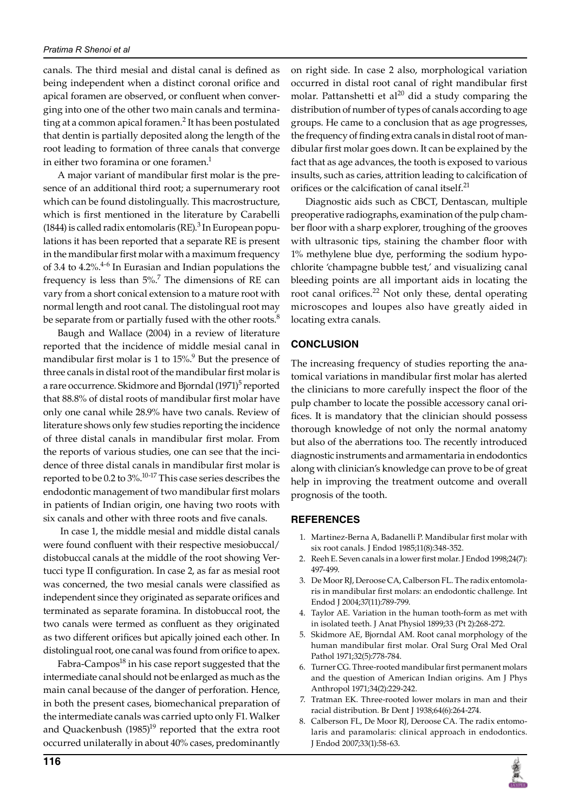canals. The third mesial and distal canal is defined as being independent when a distinct coronal orifice and apical foramen are observed, or confluent when converging into one of the other two main canals and terminating at a common apical foramen.<sup>2</sup> It has been postulated that dentin is partially deposited along the length of the root leading to formation of three canals that converge in either two foramina or one foramen.<sup>1</sup>

A major variant of mandibular first molar is the presence of an additional third root; a supernumerary root which can be found distolingually. This macrostructure, which is first mentioned in the literature by Carabelli (1844) is called radix entomolaris (RE). $3$  In European populations it has been reported that a separate RE is present in the mandibular first molar with a maximum frequency of 3.4 to 4.2%.<sup>4-6</sup> In Eurasian and Indian populations the frequency is less than  $5\%$ .<sup>7</sup> The dimensions of RE can vary from a short conical extension to a mature root with normal length and root canal. The distolingual root may be separate from or partially fused with the other roots.<sup>8</sup>

Baugh and Wallace (2004) in a review of literature reported that the incidence of middle mesial canal in mandibular first molar is 1 to  $15\%$ <sup>9</sup> But the presence of three canals in distal root of the mandibular first molar is a rare occurrence. Skidmore and Bjorndal (1971)<sup>5</sup> reported that 88.8% of distal roots of mandibular first molar have only one canal while 28.9% have two canals. Review of literature shows only few studies reporting the incidence of three distal canals in mandibular first molar. From the reports of various studies, one can see that the incidence of three distal canals in mandibular first molar is reported to be 0.2 to 3%. $^{10\text{-}17}$  This case series describes the endodontic management of two mandibular first molars in patients of Indian origin, one having two roots with six canals and other with three roots and five canals.

In case 1, the middle mesial and middle distal canals were found confluent with their respective mesiobuccal/ distobuccal canals at the middle of the root showing Vertucci type II configuration. In case 2, as far as mesial root was concerned, the two mesial canals were classified as independent since they originated as separate orifices and terminated as separate foramina. In distobuccal root, the two canals were termed as confluent as they originated as two different orifices but apically joined each other. In distolingual root, one canal was found from orifice to apex.

Fabra-Campos<sup>18</sup> in his case report suggested that the intermediate canal should not be enlarged as much as the main canal because of the danger of perforation. Hence, in both the present cases, biomechanical preparation of the intermediate canals was carried upto only F1. Walker and Quackenbush  $(1985)^{19}$  reported that the extra root occurred unilaterally in about 40% cases, predominantly

on right side. In case 2 also, morphological variation occurred in distal root canal of right mandibular first molar. Pattanshetti et al<sup>20</sup> did a study comparing the distribution of number of types of canals according to age groups. He came to a conclusion that as age progresses, the frequency of finding extra canals in distal root of mandibular first molar goes down. It can be explained by the fact that as age advances, the tooth is exposed to various insults, such as caries, attrition leading to calcification of orifices or the calcification of canal itself.<sup>21</sup>

Diagnostic aids such as CBCT, Dentascan, multiple preoperative radiographs, examination of the pulp chamber floor with a sharp explorer, troughing of the grooves with ultrasonic tips, staining the chamber floor with 1% methylene blue dye, performing the sodium hypochlorite 'champagne bubble test,' and visualizing canal bleeding points are all important aids in locating the root canal orifices.<sup>22</sup> Not only these, dental operating microscopes and loupes also have greatly aided in locating extra canals.

# **CONCLUSION**

The increasing frequency of studies reporting the anatomical variations in mandibular first molar has alerted the clinicians to more carefully inspect the floor of the pulp chamber to locate the possible accessory canal orifices. It is mandatory that the clinician should possess thorough knowledge of not only the normal anatomy but also of the aberrations too. The recently introduced diagnostic instruments and armamentaria in endodontics along with clinician's knowledge can prove to be of great help in improving the treatment outcome and overall prognosis of the tooth.

### **REFERENCES**

- 1. Martinez-Berna A, Badanelli P. Mandibular first molar with six root canals. J Endod 1985;11(8):348-352.
- 2. Reeh E. Seven canals in a lower first molar. J Endod 1998;24(7): 497-499.
- 3. De Moor RJ, Deroose CA, Calberson FL. The radix entomolaris in mandibular first molars: an endodontic challenge. Int Endod J 2004;37(11):789-799.
- 4. Taylor AE. Variation in the human tooth-form as met with in isolated teeth. J Anat Physiol 1899;33 (Pt 2):268-272.
- 5. Skidmore AE, Bjorndal AM. Root canal morphology of the human mandibular first molar. Oral Surg Oral Med Oral Pathol 1971;32(5):778-784.
- 6. Turner CG. Three-rooted mandibular first permanent molars and the question of American Indian origins. Am J Phys Anthropol 1971;34(2):229-242.
- 7. Tratman EK. Three-rooted lower molars in man and their racial distribution. Br Dent J 1938;64(6):264-274.
- 8. Calberson FL, De Moor RJ, Deroose CA. The radix entomolaris and paramolaris: clinical approach in endodontics. J Endod 2007;33(1):58-63.